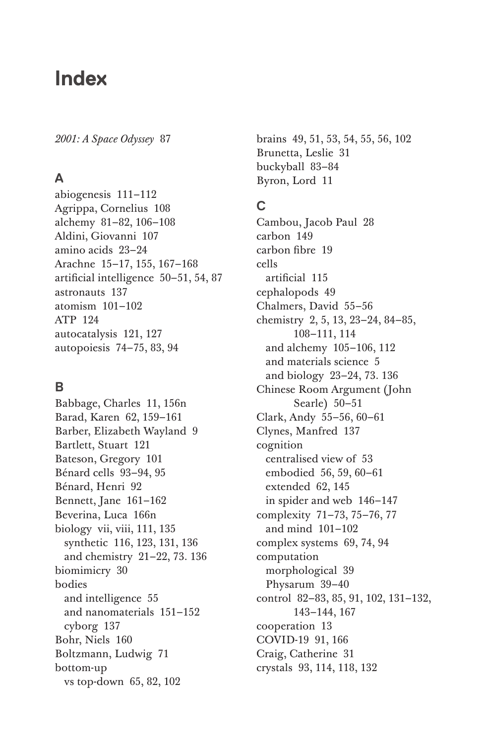# **Index**

*2001: A Space Odyssey* 87

# **A**

abiogenesis 111–112 Agrippa, Cornelius 108 alchemy 81–82, 106–108 Aldini, Giovanni 107 amino acids 23–24 Arachne 15–17, 155, 167–168 artificial intelligence 50–51, 54, 87 astronauts 137 atomism 101–102 ATP 124 autocatalysis 121, 127 autopoiesis 74–75, 83, 94

# **B**

Babbage, Charles 11, 156n Barad, Karen 62, 159–161 Barber, Elizabeth Wayland 9 Bartlett, Stuart 121 Bateson, Gregory 101 Bénard cells 93–94, 95 Bénard, Henri 92 Bennett, Jane 161–162 Beverina, Luca 166n biology vii, viii, 111, 135 synthetic 116, 123, 131, 136 and chemistry 21–22, 73. 136 biomimicry 30 bodies and intelligence 55 and nanomaterials 151–152 cyborg 137 Bohr, Niels 160 Boltzmann, Ludwig 71 bottom-up vs top-down 65, 82, 102

brains 49, 51, 53, 54, 55, 56, 102 Brunetta, Leslie 31 buckyball 83–84 Byron, Lord 11

# **C**

Cambou, Jacob Paul 28 carbon 149 carbon fibre 19 cells artificial 115 cephalopods 49 Chalmers, David 55–56 chemistry 2, 5, 13, 23–24, 84–85, 108–111, 114 and alchemy 105–106, 112 and materials science 5 and biology 23–24, 73. 136 Chinese Room Argument (John Searle) 50–51 Clark, Andy 55–56, 60–61 Clynes, Manfred 137 cognition centralised view of 53 embodied 56, 59, 60–61 extended 62, 145 in spider and web 146–147 complexity 71–73, 75–76, 77 and mind 101–102 complex systems 69, 74, 94 computation morphological 39 Physarum 39–40 control 82–83, 85, 91, 102, 131–132, 143–144, 167 cooperation 13 COVID-19 91, 166 Craig, Catherine 31 crystals 93, 114, 118, 132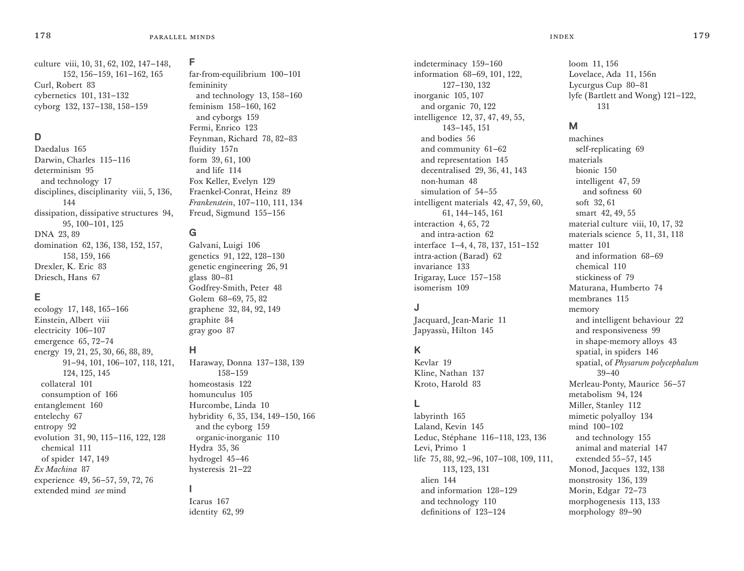culture viii, 10, 31, 62, 102, 147–148, 152, 156–159, 161–162, 165 Curl, Robert 83 cybernetics 101, 131–132 cyborg 132, 137–138, 158–159

# **D**

Daedalus 165 Darwin, Charles 115–116 determinism 95 and technology 17 disciplines, disciplinarity viii, 5, 136, 144 dissipation, dissipative structures 94, 95, 100–101, 125 DNA 23, 89 domination 62, 136, 138, 152, 157, 158, 159, 166 Drexler, K. Eric 83 Driesch, Hans 67

# **E**

ecology 17, 148, 165–166 Einstein, Albert viii electricity 106–107 emergence 65, 72–74 energy 19, 21, 25, 30, 66, 88, 89, 91–94, 101, 106–107, 118, 121, 124, 125, 145 collateral 101 consumption of 166 entanglement 160 entelechy 67 entropy 92 evolution 31, 90, 115–116, 122, 128 chemical 111 of spider 147, 149 *Ex Machina* 87 experience 49, 56–57, 59, 72, 76 extended mind *see* mind

#### **F**

far-from-equilibrium 100–101 femininity and technology 13, 158–160 feminism 158–160, 162 and cyborgs 159 Fermi, Enrico 123 Feynman, Richard 78, 82–83 fluidity 157n form 39, 61, 100 and life 114 Fox Keller, Evelyn 129 Fraenkel-Conrat, Heinz 89 *Frankenstein*, 107–110, 111, 134 Freud, Sigmund 155–156

### **G**

Galvani, Luigi 106 genetics 91, 122, 128–130 genetic engineering 26, 91 glass 80–81 Godfrey-Smith, Peter 48 Golem 68–69, 75, 82 graphene 32, 84, 92, 149 graphite 84 gray goo 87

# **H**

Haraway, Donna 137–138, 139 158–159 homeostasis 122 homunculus 105 Hurcombe, Linda 10 hybridity 6, 35, 134, 149–150, 166 and the cyborg 159 organic-inorganic 110 Hydra 35, 36 hydrogel 45–46 hysteresis 21–22 **I** Icarus 167 identity 62, 99

indeterminacy 159–160 information 68–69, 101, 122, 127–130, 132 inorganic 105, 107 and organic 70, 122 intelligence 12, 37, 47, 49, 55, 143–145, 151 and bodies 56 and community 61–62 and representation 145 decentralised 29, 36, 41, 143 non-human 48 simulation of 54–55 intelligent materials 42, 47, 59, 60, 61, 144–145, 161 interaction 4, 65, 72 and intra-action 62 interface 1–4, 4, 78, 137, 151–152 intra-action (Barad) 62 invariance 133 Irigaray, Luce 157–158 isomerism 109

#### **J**

Jacquard, Jean-Marie 11 Japyassù, Hilton 145

# **K**

Kevlar 19 Kline, Nathan 137 Kroto, Harold 83

# **L**

labyrinth 165 Laland, Kevin 145 Leduc, Stéphane 116–118, 123, 136 Levi, Primo 1 life 75, 88, 92,–96, 107–108, 109, 111, 113, 123, 131 alien 144 and information 128–129 and technology 110 definitions of 123–124

loom 11, 156 Lovelace, Ada 11, 156n Lycurgus Cup 80–81 lyfe (Bartlett and Wong) 121–122, 131

#### **M**

machines self-replicating 69 materials bionic 150 intelligent 47, 59 and softness 60 soft 32, 61 smart 42, 49, 55 material culture viii, 10, 17, 32 materials science 5, 11, 31, 118 matter 101 and information 68–69 chemical 110 stickiness of 79 Maturana, Humberto 74 membranes 115 memory and intelligent behaviour 22 and responsiveness 99 in shape-memory alloys 43 spatial, in spiders 146 spatial, of *Physarum polycephalum* 39–40 Merleau-Ponty, Maurice 56–57 metabolism 94, 124 Miller, Stanley 112 mimetic polyalloy 134 mind 100–102 and technology 155 animal and material 147 extended 55–57, 145 Monod, Jacques 132, 138 monstrosity 136, 139 Morin, Edgar 72–73 morphogenesis 113, 133 morphology 89–90